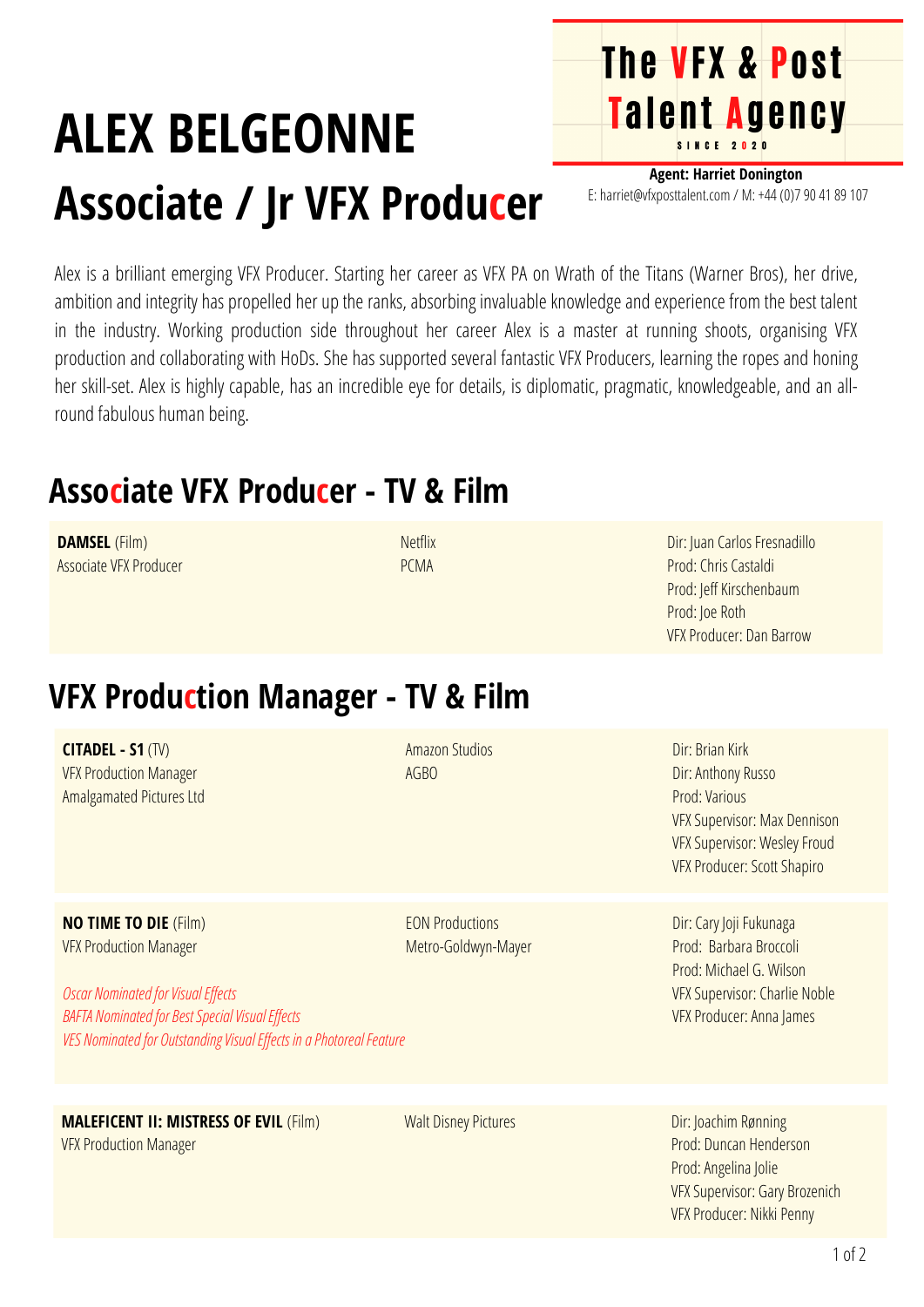## **ALEX BELGEONNE Associate / Jr VFX Producer**

**Agent: Harriet Donington** E: harriet@vfxposttalent.com / M:+44(0)7904189107

**The VFX & Post** 

Talent Agency

Alex is a brilliant emerging VFX Producer. Starting her career as VFX PA on Wrath of the Titans (Warner Bros), her drive, ambition and integrity has propelled her up the ranks, absorbing invaluable knowledge and experience from the best talent in the industry. Working production side throughout her career Alex is a master at running shoots, organising VFX production and collaborating with HoDs. She has supported several fantastic VFX Producers, learning the ropes and honing her skill-set. Alex is highly capable, has an incredible eye for details, is diplomatic, pragmatic, knowledgeable, and an allround fabulous human being.

## **Associate VFX Producer - TV & Film**

| <b>DAMSEL</b> (Film)<br>Associate VFX Producer                                                                                                                                                                                              | <b>Netflix</b><br><b>PCMA</b>                 | Dir: Juan Carlos Fresnadillo<br>Prod: Chris Castaldi<br>Prod: Jeff Kirschenbaum<br>Prod: Joe Roth<br><b>VFX Producer: Dan Barrow</b>                         |
|---------------------------------------------------------------------------------------------------------------------------------------------------------------------------------------------------------------------------------------------|-----------------------------------------------|--------------------------------------------------------------------------------------------------------------------------------------------------------------|
| <b>VFX Production Manager - TV &amp; Film</b>                                                                                                                                                                                               |                                               |                                                                                                                                                              |
| <b>CITADEL - S1 (TV)</b><br><b>VFX Production Manager</b><br>Amalgamated Pictures Ltd                                                                                                                                                       | <b>Amazon Studios</b><br><b>AGBO</b>          | Dir: Brian Kirk<br>Dir: Anthony Russo<br>Prod: Various<br><b>VFX Supervisor: Max Dennison</b><br>VFX Supervisor: Wesley Froud<br>VFX Producer: Scott Shapiro |
| <b>NO TIME TO DIE (Film)</b><br><b>VFX Production Manager</b><br><b>Oscar Nominated for Visual Effects</b><br><b>BAFTA Nominated for Best Special Visual Effects</b><br>VES Nominated for Outstanding Visual Effects in a Photoreal Feature | <b>EON Productions</b><br>Metro-Goldwyn-Mayer | Dir: Cary Joji Fukunaga<br>Prod: Barbara Broccoli<br>Prod: Michael G. Wilson<br><b>VFX Supervisor: Charlie Noble</b><br>VFX Producer: Anna James             |
| <b>MALEFICENT II: MISTRESS OF EVIL (Film)</b><br><b>VFX Production Manager</b>                                                                                                                                                              | <b>Walt Disney Pictures</b>                   | Dir: Joachim Rønning<br>Prod: Duncan Henderson<br>Prod: Angelina Jolie<br><b>VFX Supervisor: Gary Brozenich</b><br>VFX Producer: Nikki Penny                 |